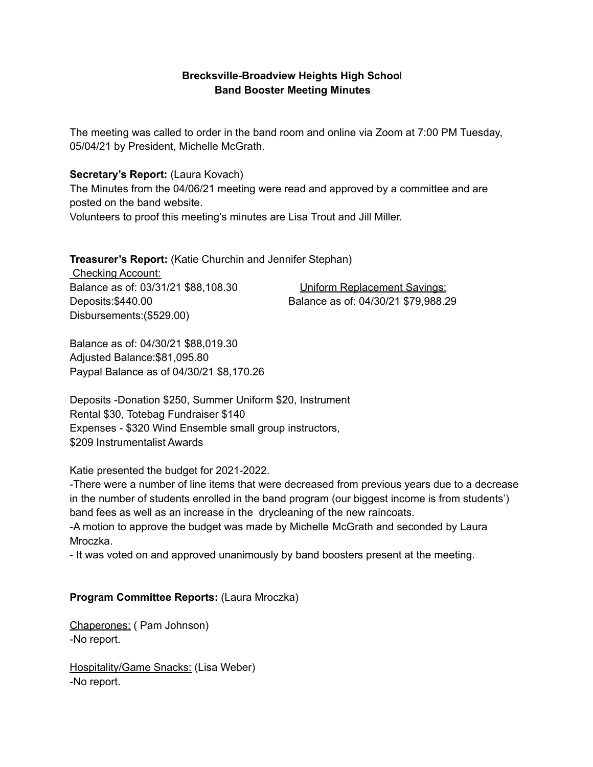## **Brecksville-Broadview Heights High Schoo**l **Band Booster Meeting Minutes**

The meeting was called to order in the band room and online via Zoom at 7:00 PM Tuesday, 05/04/21 by President, Michelle McGrath.

### **Secretary's Report:** (Laura Kovach)

The Minutes from the 04/06/21 meeting were read and approved by a committee and are posted on the band website.

Volunteers to proof this meeting's minutes are Lisa Trout and Jill Miller.

**Treasurer's Report:** (Katie Churchin and Jennifer Stephan)

Checking Account: Balance as of: 03/31/21 \$88,108.30 Uniform Replacement Savings: Disbursements:(\$529.00)

Deposits:\$440.00 Balance as of: 04/30/21 \$79,988.29

Balance as of: 04/30/21 \$88,019.30 Adjusted Balance:\$81,095.80 Paypal Balance as of 04/30/21 \$8,170.26

Deposits -Donation \$250, Summer Uniform \$20, Instrument Rental \$30, Totebag Fundraiser \$140 Expenses - \$320 Wind Ensemble small group instructors, \$209 Instrumentalist Awards

### Katie presented the budget for 2021-2022.

-There were a number of line items that were decreased from previous years due to a decrease in the number of students enrolled in the band program (our biggest income is from students') band fees as well as an increase in the drycleaning of the new raincoats.

-A motion to approve the budget was made by Michelle McGrath and seconded by Laura Mroczka.

- It was voted on and approved unanimously by band boosters present at the meeting.

# **Program Committee Reports:** (Laura Mroczka)

Chaperones: ( Pam Johnson) -No report.

Hospitality/Game Snacks: (Lisa Weber) -No report.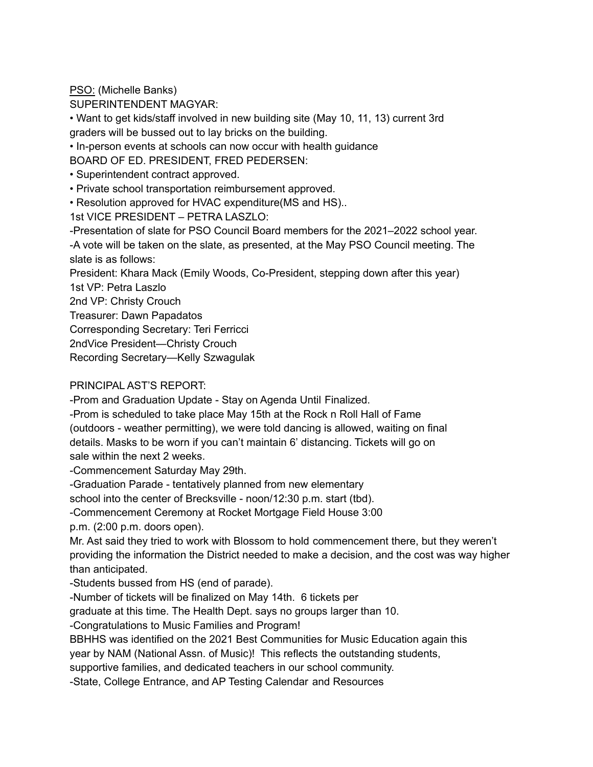PSO: (Michelle Banks)

SUPERINTENDENT MAGYAR:

• Want to get kids/staff involved in new building site (May 10, 11, 13) current 3rd graders will be bussed out to lay bricks on the building.

• In-person events at schools can now occur with health guidance

BOARD OF ED. PRESIDENT, FRED PEDERSEN:

- Superintendent contract approved.
- Private school transportation reimbursement approved.
- Resolution approved for HVAC expenditure(MS and HS)..

1st VICE PRESIDENT – PETRA LASZLO:

-Presentation of slate for PSO Council Board members for the 2021–2022 school year. -A vote will be taken on the slate, as presented, at the May PSO Council meeting. The slate is as follows:

President: Khara Mack (Emily Woods, Co-President, stepping down after this year)

1st VP: Petra Laszlo

2nd VP: Christy Crouch

Treasurer: Dawn Papadatos

Corresponding Secretary: Teri Ferricci

2ndVice President—Christy Crouch

Recording Secretary—Kelly Szwagulak

## PRINCIPAL AST'S REPORT:

-Prom and Graduation Update - Stay on Agenda Until Finalized.

-Prom is scheduled to take place May 15th at the Rock n Roll Hall of Fame (outdoors - weather permitting), we were told dancing is allowed, waiting on final details. Masks to be worn if you can't maintain 6' distancing. Tickets will go on sale within the next 2 weeks.

-Commencement Saturday May 29th.

-Graduation Parade - tentatively planned from new elementary

school into the center of Brecksville - noon/12:30 p.m. start (tbd).

-Commencement Ceremony at Rocket Mortgage Field House 3:00

p.m. (2:00 p.m. doors open).

Mr. Ast said they tried to work with Blossom to hold commencement there, but they weren't providing the information the District needed to make a decision, and the cost was way higher than anticipated.

-Students bussed from HS (end of parade).

-Number of tickets will be finalized on May 14th. 6 tickets per

graduate at this time. The Health Dept. says no groups larger than 10.

-Congratulations to Music Families and Program!

BBHHS was identified on the 2021 Best Communities for Music Education again this

year by NAM (National Assn. of Music)! This reflects the outstanding students,

supportive families, and dedicated teachers in our school community.

-State, College Entrance, and AP Testing Calendar and Resources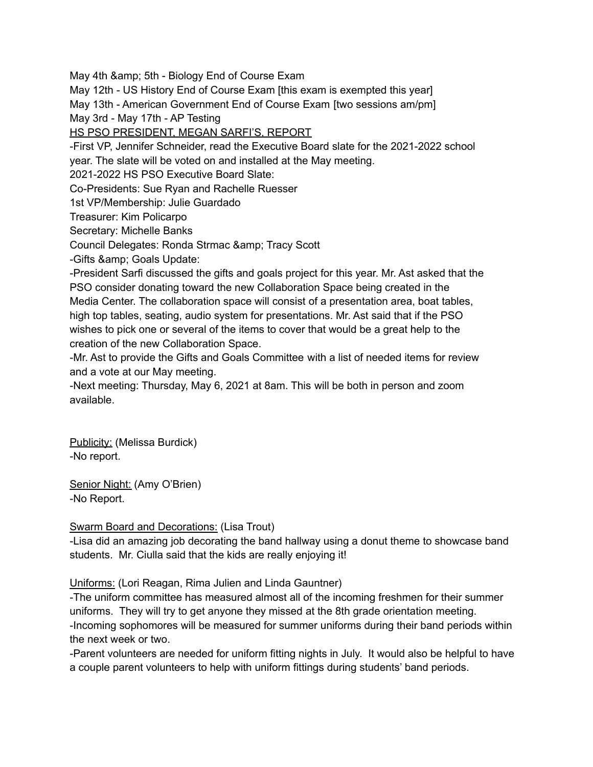May 4th & amp; 5th - Biology End of Course Exam

May 12th - US History End of Course Exam [this exam is exempted this year]

May 13th - American Government End of Course Exam [two sessions am/pm]

May 3rd - May 17th - AP Testing

HS PSO PRESIDENT, MEGAN SARFI'S, REPORT

-First VP, Jennifer Schneider, read the Executive Board slate for the 2021-2022 school

year. The slate will be voted on and installed at the May meeting.

2021-2022 HS PSO Executive Board Slate:

Co-Presidents: Sue Ryan and Rachelle Ruesser

1st VP/Membership: Julie Guardado

Treasurer: Kim Policarpo

Secretary: Michelle Banks

Council Delegates: Ronda Strmac & amp; Tracy Scott

-Gifts & amp; Goals Update:

-President Sarfi discussed the gifts and goals project for this year. Mr. Ast asked that the PSO consider donating toward the new Collaboration Space being created in the Media Center. The collaboration space will consist of a presentation area, boat tables, high top tables, seating, audio system for presentations. Mr. Ast said that if the PSO wishes to pick one or several of the items to cover that would be a great help to the creation of the new Collaboration Space.

-Mr. Ast to provide the Gifts and Goals Committee with a list of needed items for review and a vote at our May meeting.

-Next meeting: Thursday, May 6, 2021 at 8am. This will be both in person and zoom available.

Publicity: (Melissa Burdick) -No report.

Senior Night: (Amy O'Brien) -No Report.

# Swarm Board and Decorations: (Lisa Trout)

-Lisa did an amazing job decorating the band hallway using a donut theme to showcase band students. Mr. Ciulla said that the kids are really enjoying it!

Uniforms: (Lori Reagan, Rima Julien and Linda Gauntner)

-The uniform committee has measured almost all of the incoming freshmen for their summer uniforms. They will try to get anyone they missed at the 8th grade orientation meeting. -Incoming sophomores will be measured for summer uniforms during their band periods within the next week or two.

-Parent volunteers are needed for uniform fitting nights in July. It would also be helpful to have a couple parent volunteers to help with uniform fittings during students' band periods.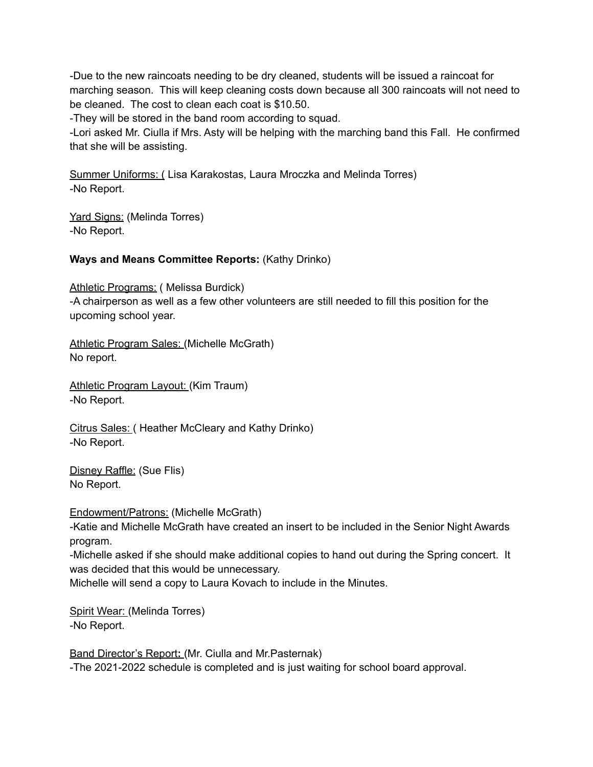-Due to the new raincoats needing to be dry cleaned, students will be issued a raincoat for marching season. This will keep cleaning costs down because all 300 raincoats will not need to be cleaned. The cost to clean each coat is \$10.50.

-They will be stored in the band room according to squad.

-Lori asked Mr. Ciulla if Mrs. Asty will be helping with the marching band this Fall. He confirmed that she will be assisting.

Summer Uniforms: ( Lisa Karakostas, Laura Mroczka and Melinda Torres) -No Report.

Yard Signs: (Melinda Torres) -No Report.

## **Ways and Means Committee Reports:** (Kathy Drinko)

Athletic Programs: (Melissa Burdick) -A chairperson as well as a few other volunteers are still needed to fill this position for the upcoming school year.

Athletic Program Sales: (Michelle McGrath) No report.

Athletic Program Layout: (Kim Traum) -No Report.

Citrus Sales: ( Heather McCleary and Kathy Drinko) -No Report.

Disney Raffle: (Sue Flis) No Report.

Endowment/Patrons: (Michelle McGrath)

-Katie and Michelle McGrath have created an insert to be included in the Senior Night Awards program.

-Michelle asked if she should make additional copies to hand out during the Spring concert. It was decided that this would be unnecessary.

Michelle will send a copy to Laura Kovach to include in the Minutes.

Spirit Wear: (Melinda Torres) -No Report.

Band Director's Report**:** (Mr. Ciulla and Mr.Pasternak) -The 2021-2022 schedule is completed and is just waiting for school board approval.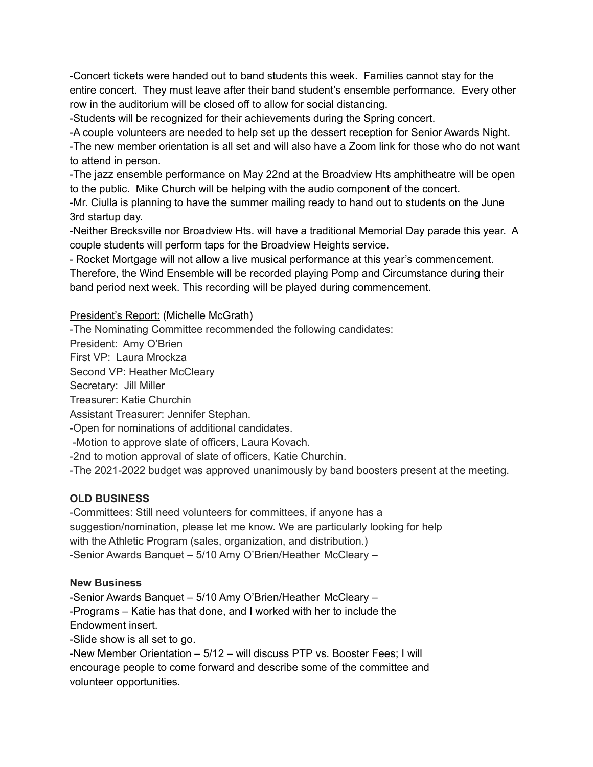-Concert tickets were handed out to band students this week. Families cannot stay for the entire concert. They must leave after their band student's ensemble performance. Every other row in the auditorium will be closed off to allow for social distancing.

-Students will be recognized for their achievements during the Spring concert.

-A couple volunteers are needed to help set up the dessert reception for Senior Awards Night.

-The new member orientation is all set and will also have a Zoom link for those who do not want to attend in person.

-The jazz ensemble performance on May 22nd at the Broadview Hts amphitheatre will be open to the public. Mike Church will be helping with the audio component of the concert.

-Mr. Ciulla is planning to have the summer mailing ready to hand out to students on the June 3rd startup day.

-Neither Brecksville nor Broadview Hts. will have a traditional Memorial Day parade this year. A couple students will perform taps for the Broadview Heights service.

- Rocket Mortgage will not allow a live musical performance at this year's commencement.

Therefore, the Wind Ensemble will be recorded playing Pomp and Circumstance during their band period next week. This recording will be played during commencement.

### President's Report: (Michelle McGrath)

-The Nominating Committee recommended the following candidates:

President: Amy O'Brien

First VP: Laura Mrockza

Second VP: Heather McCleary

Secretary: Jill Miller

Treasurer: Katie Churchin

Assistant Treasurer: Jennifer Stephan.

-Open for nominations of additional candidates.

-Motion to approve slate of officers, Laura Kovach.

-2nd to motion approval of slate of officers, Katie Churchin.

-The 2021-2022 budget was approved unanimously by band boosters present at the meeting.

### **OLD BUSINESS**

-Committees: Still need volunteers for committees, if anyone has a suggestion/nomination, please let me know. We are particularly looking for help with the Athletic Program (sales, organization, and distribution.) -Senior Awards Banquet – 5/10 Amy O'Brien/Heather McCleary –

### **New Business**

-Senior Awards Banquet – 5/10 Amy O'Brien/Heather McCleary – -Programs – Katie has that done, and I worked with her to include the Endowment insert.

-Slide show is all set to go.

-New Member Orientation – 5/12 – will discuss PTP vs. Booster Fees; I will encourage people to come forward and describe some of the committee and volunteer opportunities.